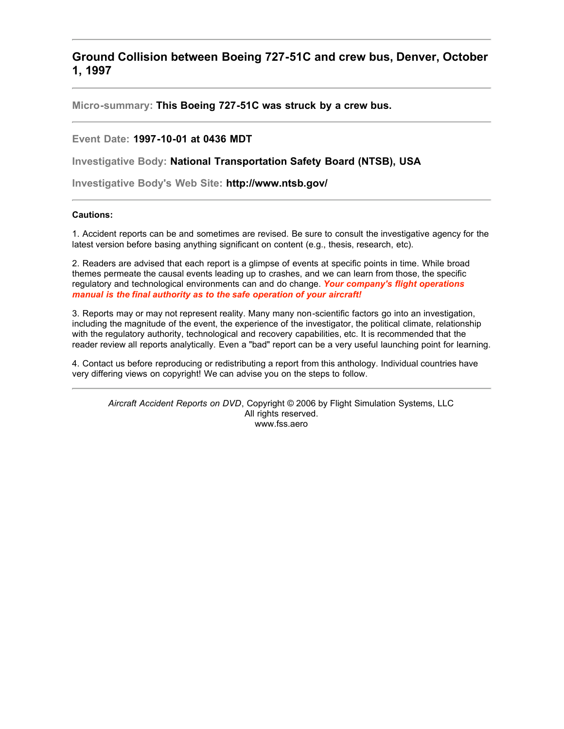# **Ground Collision between Boeing 727-51C and crew bus, Denver, October 1, 1997**

**Micro-summary: This Boeing 727-51C was struck by a crew bus.**

## **Event Date: 1997-10-01 at 0436 MDT**

**Investigative Body: National Transportation Safety Board (NTSB), USA**

**Investigative Body's Web Site: http://www.ntsb.gov/**

## **Cautions:**

1. Accident reports can be and sometimes are revised. Be sure to consult the investigative agency for the latest version before basing anything significant on content (e.g., thesis, research, etc).

2. Readers are advised that each report is a glimpse of events at specific points in time. While broad themes permeate the causal events leading up to crashes, and we can learn from those, the specific regulatory and technological environments can and do change. *Your company's flight operations manual is the final authority as to the safe operation of your aircraft!*

3. Reports may or may not represent reality. Many many non-scientific factors go into an investigation, including the magnitude of the event, the experience of the investigator, the political climate, relationship with the regulatory authority, technological and recovery capabilities, etc. It is recommended that the reader review all reports analytically. Even a "bad" report can be a very useful launching point for learning.

4. Contact us before reproducing or redistributing a report from this anthology. Individual countries have very differing views on copyright! We can advise you on the steps to follow.

*Aircraft Accident Reports on DVD*, Copyright © 2006 by Flight Simulation Systems, LLC All rights reserved. www.fss.aero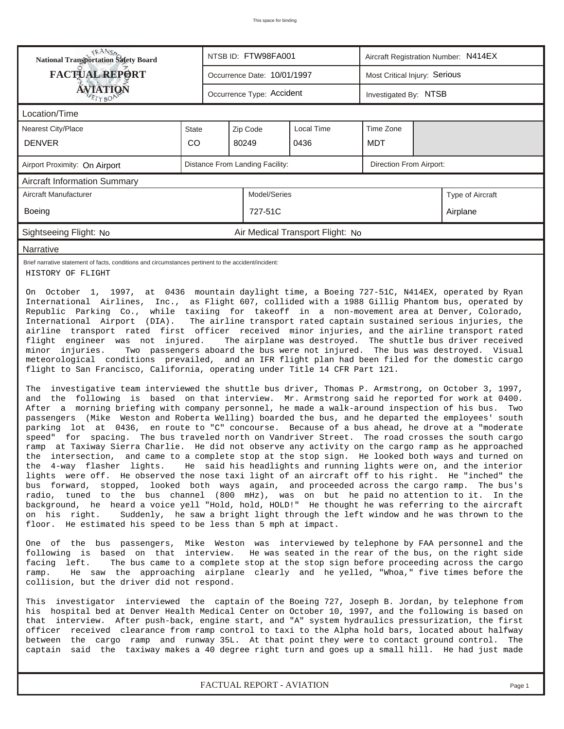| RANS <sub>P</sub> RANSP<br>National Transportation Safety Board                                                                                                                                                                                                                                                                                                                                                                                                                                                                                                                                                                                                                                                                                                                                                                                                                                                                                                                                                                                                                                                                                                                                                                                                                                                                                                                                                                                                                                                                                                                                                                                                                                                                                                                                                                                                                                                                                                                                                                                                                                                                                                                                                                                                                                                                   |       |  | NTSB ID: FTW98FA001             |                                  | Aircraft Registration Number: N414EX |  |                  |  |  |
|-----------------------------------------------------------------------------------------------------------------------------------------------------------------------------------------------------------------------------------------------------------------------------------------------------------------------------------------------------------------------------------------------------------------------------------------------------------------------------------------------------------------------------------------------------------------------------------------------------------------------------------------------------------------------------------------------------------------------------------------------------------------------------------------------------------------------------------------------------------------------------------------------------------------------------------------------------------------------------------------------------------------------------------------------------------------------------------------------------------------------------------------------------------------------------------------------------------------------------------------------------------------------------------------------------------------------------------------------------------------------------------------------------------------------------------------------------------------------------------------------------------------------------------------------------------------------------------------------------------------------------------------------------------------------------------------------------------------------------------------------------------------------------------------------------------------------------------------------------------------------------------------------------------------------------------------------------------------------------------------------------------------------------------------------------------------------------------------------------------------------------------------------------------------------------------------------------------------------------------------------------------------------------------------------------------------------------------|-------|--|---------------------------------|----------------------------------|--------------------------------------|--|------------------|--|--|
| <b>FACTUAL REPORT</b>                                                                                                                                                                                                                                                                                                                                                                                                                                                                                                                                                                                                                                                                                                                                                                                                                                                                                                                                                                                                                                                                                                                                                                                                                                                                                                                                                                                                                                                                                                                                                                                                                                                                                                                                                                                                                                                                                                                                                                                                                                                                                                                                                                                                                                                                                                             |       |  | Occurrence Date: 10/01/1997     |                                  | Most Critical Injury: Serious        |  |                  |  |  |
| <b>ÁVJATIQÑ</b>                                                                                                                                                                                                                                                                                                                                                                                                                                                                                                                                                                                                                                                                                                                                                                                                                                                                                                                                                                                                                                                                                                                                                                                                                                                                                                                                                                                                                                                                                                                                                                                                                                                                                                                                                                                                                                                                                                                                                                                                                                                                                                                                                                                                                                                                                                                   |       |  | Occurrence Type: Accident       |                                  | Investigated By: NTSB                |  |                  |  |  |
| Location/Time                                                                                                                                                                                                                                                                                                                                                                                                                                                                                                                                                                                                                                                                                                                                                                                                                                                                                                                                                                                                                                                                                                                                                                                                                                                                                                                                                                                                                                                                                                                                                                                                                                                                                                                                                                                                                                                                                                                                                                                                                                                                                                                                                                                                                                                                                                                     |       |  |                                 |                                  |                                      |  |                  |  |  |
| <b>Nearest City/Place</b>                                                                                                                                                                                                                                                                                                                                                                                                                                                                                                                                                                                                                                                                                                                                                                                                                                                                                                                                                                                                                                                                                                                                                                                                                                                                                                                                                                                                                                                                                                                                                                                                                                                                                                                                                                                                                                                                                                                                                                                                                                                                                                                                                                                                                                                                                                         | State |  | Zip Code                        | Local Time                       | Time Zone                            |  |                  |  |  |
| <b>DENVER</b>                                                                                                                                                                                                                                                                                                                                                                                                                                                                                                                                                                                                                                                                                                                                                                                                                                                                                                                                                                                                                                                                                                                                                                                                                                                                                                                                                                                                                                                                                                                                                                                                                                                                                                                                                                                                                                                                                                                                                                                                                                                                                                                                                                                                                                                                                                                     | CO    |  | 80249                           | 0436                             | <b>MDT</b>                           |  |                  |  |  |
| Airport Proximity: On Airport                                                                                                                                                                                                                                                                                                                                                                                                                                                                                                                                                                                                                                                                                                                                                                                                                                                                                                                                                                                                                                                                                                                                                                                                                                                                                                                                                                                                                                                                                                                                                                                                                                                                                                                                                                                                                                                                                                                                                                                                                                                                                                                                                                                                                                                                                                     |       |  | Distance From Landing Facility: |                                  | Direction From Airport:              |  |                  |  |  |
| <b>Aircraft Information Summary</b>                                                                                                                                                                                                                                                                                                                                                                                                                                                                                                                                                                                                                                                                                                                                                                                                                                                                                                                                                                                                                                                                                                                                                                                                                                                                                                                                                                                                                                                                                                                                                                                                                                                                                                                                                                                                                                                                                                                                                                                                                                                                                                                                                                                                                                                                                               |       |  |                                 |                                  |                                      |  |                  |  |  |
| Aircraft Manufacturer                                                                                                                                                                                                                                                                                                                                                                                                                                                                                                                                                                                                                                                                                                                                                                                                                                                                                                                                                                                                                                                                                                                                                                                                                                                                                                                                                                                                                                                                                                                                                                                                                                                                                                                                                                                                                                                                                                                                                                                                                                                                                                                                                                                                                                                                                                             |       |  | Model/Series                    |                                  |                                      |  | Type of Aircraft |  |  |
| Boeing                                                                                                                                                                                                                                                                                                                                                                                                                                                                                                                                                                                                                                                                                                                                                                                                                                                                                                                                                                                                                                                                                                                                                                                                                                                                                                                                                                                                                                                                                                                                                                                                                                                                                                                                                                                                                                                                                                                                                                                                                                                                                                                                                                                                                                                                                                                            |       |  | 727-51C                         |                                  |                                      |  | Airplane         |  |  |
| Sightseeing Flight: No                                                                                                                                                                                                                                                                                                                                                                                                                                                                                                                                                                                                                                                                                                                                                                                                                                                                                                                                                                                                                                                                                                                                                                                                                                                                                                                                                                                                                                                                                                                                                                                                                                                                                                                                                                                                                                                                                                                                                                                                                                                                                                                                                                                                                                                                                                            |       |  |                                 | Air Medical Transport Flight: No |                                      |  |                  |  |  |
| <b>Narrative</b>                                                                                                                                                                                                                                                                                                                                                                                                                                                                                                                                                                                                                                                                                                                                                                                                                                                                                                                                                                                                                                                                                                                                                                                                                                                                                                                                                                                                                                                                                                                                                                                                                                                                                                                                                                                                                                                                                                                                                                                                                                                                                                                                                                                                                                                                                                                  |       |  |                                 |                                  |                                      |  |                  |  |  |
| Brief narrative statement of facts, conditions and circumstances pertinent to the accident/incident:<br>HISTORY OF FLIGHT                                                                                                                                                                                                                                                                                                                                                                                                                                                                                                                                                                                                                                                                                                                                                                                                                                                                                                                                                                                                                                                                                                                                                                                                                                                                                                                                                                                                                                                                                                                                                                                                                                                                                                                                                                                                                                                                                                                                                                                                                                                                                                                                                                                                         |       |  |                                 |                                  |                                      |  |                  |  |  |
| International Airlines, Inc., as Flight 607, collided with a 1988 Gillig Phantom bus, operated by<br>Republic Parking Co., while taxiing for takeoff in a non-movement area at Denver, Colorado,<br>International Airport (DIA).<br>The airline transport rated captain sustained serious injuries, the<br>airline transport rated first officer received minor injuries, and the airline transport rated<br>flight engineer was not injured.<br>The airplane was destroyed. The shuttle bus driver received<br>Two passengers aboard the bus were not injured. The bus was destroyed. Visual<br>minor injuries.<br>meteorological conditions prevailed, and an IFR flight plan had been filed for the domestic cargo<br>flight to San Francisco, California, operating under Title 14 CFR Part 121.<br>The investigative team interviewed the shuttle bus driver, Thomas P. Armstrong, on October 3, 1997,<br>and the following is based on that interview. Mr. Armstrong said he reported for work at 0400.<br>After a morning briefing with company personnel, he made a walk-around inspection of his bus.<br>Two<br>passengers (Mike Weston and Roberta Welling) boarded the bus, and he departed the employees' south<br>parking lot at 0436,<br>en route to "C" concourse. Because of a bus ahead, he drove at a "moderate<br>speed" for<br>spacing. The bus traveled north on Vandriver Street. The road crosses the south cargo<br>ramp at Taxiway Sierra Charlie. He did not observe any activity on the cargo ramp as he approached<br>the intersection, and came to a complete stop at the stop sign. He looked both ways and turned on<br>the 4-way flasher lights. He said his headlights and running lights were on, and the interior<br>lights were off. He observed the nose taxi light of an aircraft off to his right. He "inched" the<br>bus forward, stopped, looked both ways again, and proceeded across the cargo ramp. The bus's<br>radio, tuned to the bus channel (800 mHz), was on but he paid no attention to it. In the<br>background, he heard a voice yell "Hold, hold, HOLD!" He thought he was referring to the aircraft<br>Suddenly, he saw a bright light through the left window and he was thrown to the<br>on his right.<br>floor. He estimated his speed to be less than 5 mph at impact. |       |  |                                 |                                  |                                      |  |                  |  |  |
| One of the bus passengers, Mike Weston was interviewed by telephone by FAA personnel and the<br>following is based on that interview. He was seated in the rear of the bus, on the right side<br>facinq left.<br>The bus came to a complete stop at the stop sign before proceeding across the cargo<br>He saw the approaching airplane clearly and he yelled, "Whoa," five times before the<br>ramp.<br>collision, but the driver did not respond.                                                                                                                                                                                                                                                                                                                                                                                                                                                                                                                                                                                                                                                                                                                                                                                                                                                                                                                                                                                                                                                                                                                                                                                                                                                                                                                                                                                                                                                                                                                                                                                                                                                                                                                                                                                                                                                                               |       |  |                                 |                                  |                                      |  |                  |  |  |
| This investigator interviewed the captain of the Boeing 727, Joseph B. Jordan, by telephone from<br>his hospital bed at Denver Health Medical Center on October 10, 1997, and the following is based on<br>that interview. After push-back, engine start, and "A" system hydraulics pressurization, the first<br>officer received clearance from ramp control to taxi to the Alpha hold bars, located about halfway<br>between the cargo ramp and runway 35L. At that point they were to contact ground control.<br>The<br>captain said the taxiway makes a 40 degree right turn and goes up a small hill. He had just made                                                                                                                                                                                                                                                                                                                                                                                                                                                                                                                                                                                                                                                                                                                                                                                                                                                                                                                                                                                                                                                                                                                                                                                                                                                                                                                                                                                                                                                                                                                                                                                                                                                                                                       |       |  |                                 |                                  |                                      |  |                  |  |  |

*FACTUAL REPORT - AVIATION Page 1*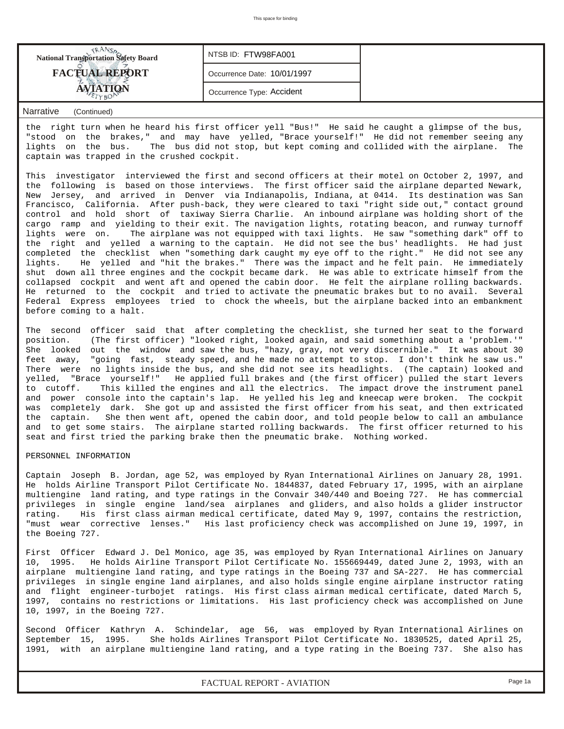| <b>FACTUAL REPORT</b><br>Occurrence Date: 10/01/1997<br>Occurrence Type: Accident | <b>National Transportation Safety Board</b> | NTSB ID: FTW98FA001 |  |
|-----------------------------------------------------------------------------------|---------------------------------------------|---------------------|--|
|                                                                                   |                                             |                     |  |
|                                                                                   |                                             |                     |  |

## *Narrative (Continued)*

the right turn when he heard his first officer yell "Bus!" He said he caught a glimpse of the bus, "stood on the brakes," and may have yelled, "Brace yourself!" He did not remember seeing any lights on the bus. The bus did not stop, but kept coming and collided with the airplane. The captain was trapped in the crushed cockpit.

This investigator interviewed the first and second officers at their motel on October 2, 1997, and the following is based on those interviews. The first officer said the airplane departed Newark, New Jersey, and arrived in Denver via Indianapolis, Indiana, at 0414. Its destination was San Francisco, California. After push-back, they were cleared to taxi "right side out," contact ground control and hold short of taxiway Sierra Charlie. An inbound airplane was holding short of the cargo ramp and yielding to their exit. The navigation lights, rotating beacon, and runway turnoff lights were on. The airplane was not equipped with taxi lights. He saw "something dark" off to the right and yelled a warning to the captain. He did not see the bus' headlights. He had just completed the checklist when "something dark caught my eye off to the right." He did not see any lights. He yelled and "hit the brakes." There was the impact and he felt pain. He immediately shut down all three engines and the cockpit became dark. He was able to extricate himself from the collapsed cockpit and went aft and opened the cabin door. He felt the airplane rolling backwards. He returned to the cockpit and tried to activate the pneumatic brakes but to no avail. Several Federal Express employees tried to chock the wheels, but the airplane backed into an embankment before coming to a halt.

The second officer said that after completing the checklist, she turned her seat to the forward position. (The first officer) "looked right, looked again, and said something about a 'problem.'" She looked out the window and saw the bus, "hazy, gray, not very discernible." It was about 30 feet away, "going fast, steady speed, and he made no attempt to stop. I don't think he saw us." There were no lights inside the bus, and she did not see its headlights. (The captain) looked and yelled, "Brace yourself!" He applied full brakes and (the first officer) pulled the start levers to cutoff. This killed the engines and all the electrics. The impact drove the instrument panel and power console into the captain's lap. He yelled his leg and kneecap were broken. The cockpit was completely dark. She got up and assisted the first officer from his seat, and then extricated the captain. She then went aft, opened the cabin door, and told people below to call an ambulance and to get some stairs. The airplane started rolling backwards. The first officer returned to his seat and first tried the parking brake then the pneumatic brake. Nothing worked.

#### PERSONNEL INFORMATION

Captain Joseph B. Jordan, age 52, was employed by Ryan International Airlines on January 28, 1991. He holds Airline Transport Pilot Certificate No. 1844837, dated February 17, 1995, with an airplane multiengine land rating, and type ratings in the Convair 340/440 and Boeing 727. He has commercial privileges in single engine land/sea airplanes and gliders, and also holds a glider instructor rating. His first class airman medical certificate, dated May 9, 1997, contains the restriction, "must wear corrective lenses." His last proficiency check was accomplished on June 19, 1997, in the Boeing 727.

First Officer Edward J. Del Monico, age 35, was employed by Ryan International Airlines on January 10, 1995. He holds Airline Transport Pilot Certificate No. 155669449, dated June 2, 1993, with an airplane multiengine land rating, and type ratings in the Boeing 737 and SA-227. He has commercial privileges in single engine land airplanes, and also holds single engine airplane instructor rating and flight engineer-turbojet ratings. His first class airman medical certificate, dated March 5, 1997, contains no restrictions or limitations. His last proficiency check was accomplished on June 10, 1997, in the Boeing 727.

Second Officer Kathryn A. Schindelar, age 56, was employed by Ryan International Airlines on September 15, 1995. She holds Airlines Transport Pilot Certificate No. 1830525, dated April 25, 1991, with an airplane multiengine land rating, and a type rating in the Boeing 737. She also has

*FACTUAL REPORT - AVIATION Page 1a*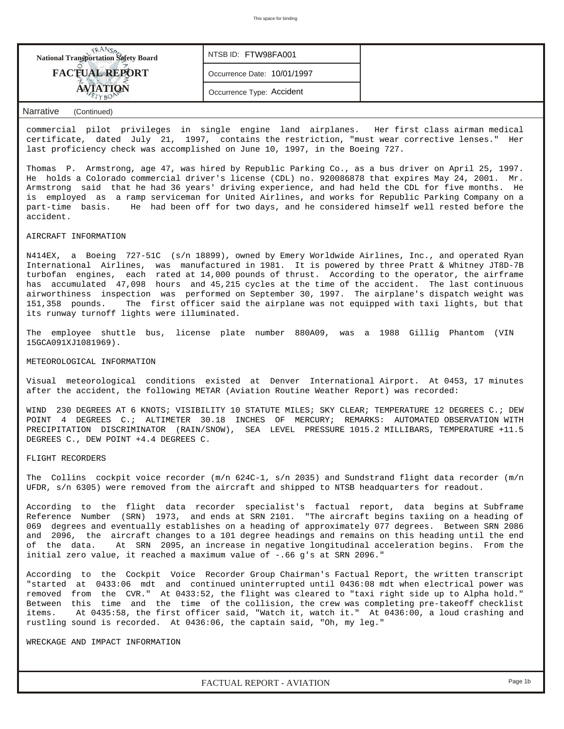| <b>National Transportation Safety Board</b> | NTSB ID: FTW98FA001         |  |
|---------------------------------------------|-----------------------------|--|
| <b>FACTUAL REPORT</b>                       | Occurrence Date: 10/01/1997 |  |
|                                             | Occurrence Type: Accident   |  |

### *Narrative (Continued)*

commercial pilot privileges in single engine land airplanes. Her first class airman medical certificate, dated July 21, 1997, contains the restriction, "must wear corrective lenses." Her last proficiency check was accomplished on June 10, 1997, in the Boeing 727.

Thomas P. Armstrong, age 47, was hired by Republic Parking Co., as a bus driver on April 25, 1997. He holds a Colorado commercial driver's license (CDL) no. 920086878 that expires May 24, 2001. Mr. Armstrong said that he had 36 years' driving experience, and had held the CDL for five months. He is employed as a ramp serviceman for United Airlines, and works for Republic Parking Company on a part-time basis. He had been off for two days, and he considered himself well rested before the accident.

#### AIRCRAFT INFORMATION

N414EX, a Boeing 727-51C (s/n 18899), owned by Emery Worldwide Airlines, Inc., and operated Ryan International Airlines, was manufactured in 1981. It is powered by three Pratt & Whitney JT8D-7B turbofan engines, each rated at 14,000 pounds of thrust. According to the operator, the airframe has accumulated 47,098 hours and 45,215 cycles at the time of the accident. The last continuous airworthiness inspection was performed on September 30, 1997. The airplane's dispatch weight was 151,358 pounds. The first officer said the airplane was not equipped with taxi lights, but that its runway turnoff lights were illuminated.

The employee shuttle bus, license plate number 880A09, was a 1988 Gillig Phantom (VIN 15GCA091XJ1081969).

#### METEOROLOGICAL INFORMATION

Visual meteorological conditions existed at Denver International Airport. At 0453, 17 minutes after the accident, the following METAR (Aviation Routine Weather Report) was recorded:

WIND 230 DEGREES AT 6 KNOTS; VISIBILITY 10 STATUTE MILES; SKY CLEAR; TEMPERATURE 12 DEGREES C.; DEW POINT 4 DEGREES C.; ALTIMETER 30.18 INCHES OF MERCURY; REMARKS: AUTOMATED OBSERVATION WITH PRECIPITATION DISCRIMINATOR (RAIN/SNOW), SEA LEVEL PRESSURE 1015.2 MILLIBARS, TEMPERATURE +11.5 DEGREES C., DEW POINT +4.4 DEGREES C.

#### FLIGHT RECORDERS

The Collins cockpit voice recorder (m/n 624C-1, s/n 2035) and Sundstrand flight data recorder (m/n UFDR, s/n 6305) were removed from the aircraft and shipped to NTSB headquarters for readout.

According to the flight data recorder specialist's factual report, data begins at Subframe Reference Number (SRN) 1973, and ends at SRN 2101. "The aircraft begins taxiing on a heading of 069 degrees and eventually establishes on a heading of approximately 077 degrees. Between SRN 2086 and 2096, the aircraft changes to a 101 degree headings and remains on this heading until the end of the data. At SRN 2095, an increase in negative longitudinal acceleration begins. From the initial zero value, it reached a maximum value of -.66 g's at SRN 2096."

According to the Cockpit Voice Recorder Group Chairman's Factual Report, the written transcript "started at 0433:06 mdt and continued uninterrupted until 0436:08 mdt when electrical power was removed from the CVR." At 0433:52, the flight was cleared to "taxi right side up to Alpha hold." Between this time and the time of the collision, the crew was completing pre-takeoff checklist items. At 0435:58, the first officer said, "Watch it, watch it." At 0436:00, a loud crashing and rustling sound is recorded. At 0436:06, the captain said, "Oh, my leg."

WRECKAGE AND IMPACT INFORMATION

*FACTUAL REPORT - AVIATION Page 1b*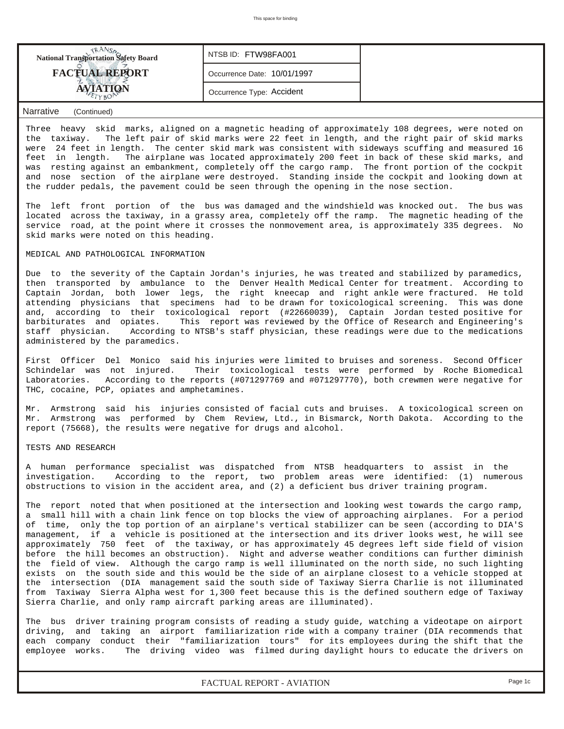| <b>National Transportation Safety Board</b> | NTSB ID: FTW98FA001         |  |
|---------------------------------------------|-----------------------------|--|
| <b>FACTUAL REPORT</b>                       | Occurrence Date: 10/01/1997 |  |
| <b>TION</b>                                 | Occurrence Type: Accident   |  |

### *Narrative (Continued)*

Three heavy skid marks, aligned on a magnetic heading of approximately 108 degrees, were noted on the taxiway. The left pair of skid marks were 22 feet in length, and the right pair of skid marks were 24 feet in length. The center skid mark was consistent with sideways scuffing and measured 16 feet in length. The airplane was located approximately 200 feet in back of these skid marks, and was resting against an embankment, completely off the cargo ramp. The front portion of the cockpit and nose section of the airplane were destroyed. Standing inside the cockpit and looking down at the rudder pedals, the pavement could be seen through the opening in the nose section.

The left front portion of the bus was damaged and the windshield was knocked out. The bus was located across the taxiway, in a grassy area, completely off the ramp. The magnetic heading of the service road, at the point where it crosses the nonmovement area, is approximately 335 degrees. No skid marks were noted on this heading.

#### MEDICAL AND PATHOLOGICAL INFORMATION

Due to the severity of the Captain Jordan's injuries, he was treated and stabilized by paramedics, then transported by ambulance to the Denver Health Medical Center for treatment. According to Captain Jordan, both lower legs, the right kneecap and right ankle were fractured. He told attending physicians that specimens had to be drawn for toxicological screening. This was done and, according to their toxicological report (#22660039), Captain Jordan tested positive for barbiturates and opiates. This report was reviewed by the Office of Research and Engineering's staff physician. According to NTSB's staff physician, these readings were due to the medications administered by the paramedics.

First Officer Del Monico said his injuries were limited to bruises and soreness. Second Officer Schindelar was not injured. Their toxicological tests were performed by Roche Biomedical Laboratories. According to the reports (#071297769 and #071297770), both crewmen were negative for THC, cocaine, PCP, opiates and amphetamines.

Mr. Armstrong said his injuries consisted of facial cuts and bruises. A toxicological screen on Mr. Armstrong was performed by Chem Review, Ltd., in Bismarck, North Dakota. According to the report (75668), the results were negative for drugs and alcohol.

#### TESTS AND RESEARCH

A human performance specialist was dispatched from NTSB headquarters to assist in the investigation. According to the report, two problem areas were identified: (1) numerous obstructions to vision in the accident area, and (2) a deficient bus driver training program.

The report noted that when positioned at the intersection and looking west towards the cargo ramp, a small hill with a chain link fence on top blocks the view of approaching airplanes. For a period of time, only the top portion of an airplane's vertical stabilizer can be seen (according to DIA'S management, if a vehicle is positioned at the intersection and its driver looks west, he will see approximately 750 feet of the taxiway, or has approximately 45 degrees left side field of vision before the hill becomes an obstruction). Night and adverse weather conditions can further diminish the field of view. Although the cargo ramp is well illuminated on the north side, no such lighting exists on the south side and this would be the side of an airplane closest to a vehicle stopped at the intersection (DIA management said the south side of Taxiway Sierra Charlie is not illuminated from Taxiway Sierra Alpha west for 1,300 feet because this is the defined southern edge of Taxiway Sierra Charlie, and only ramp aircraft parking areas are illuminated).

The bus driver training program consists of reading a study guide, watching a videotape on airport driving, and taking an airport familiarization ride with a company trainer (DIA recommends that each company conduct their "familiarization tours" for its employees during the shift that the employee works. The driving video was filmed during daylight hours to educate the drivers on

*FACTUAL REPORT - AVIATION Page 1c*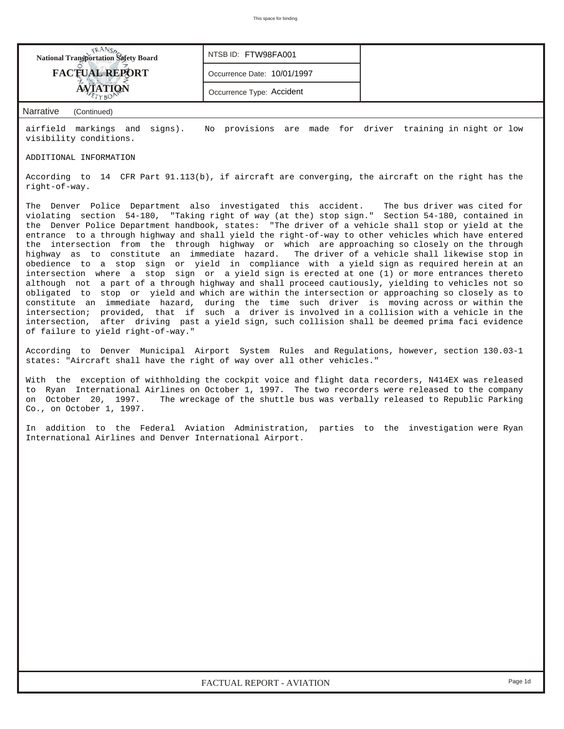| <b>National Transportation Safety Board</b><br>NTSB ID: FTW98FA001                                                                                                                                                                                                                                                                                                                                                                                                                                                                                                                                                                                                                                                                                                                                                                                                                                                                                                                                                                                                                                                                                                                                                                                                                                                                                                  |                             |                                                                           |  |  |  |  |  |  |  |
|---------------------------------------------------------------------------------------------------------------------------------------------------------------------------------------------------------------------------------------------------------------------------------------------------------------------------------------------------------------------------------------------------------------------------------------------------------------------------------------------------------------------------------------------------------------------------------------------------------------------------------------------------------------------------------------------------------------------------------------------------------------------------------------------------------------------------------------------------------------------------------------------------------------------------------------------------------------------------------------------------------------------------------------------------------------------------------------------------------------------------------------------------------------------------------------------------------------------------------------------------------------------------------------------------------------------------------------------------------------------|-----------------------------|---------------------------------------------------------------------------|--|--|--|--|--|--|--|
| <b>FACTUAL REPORT</b>                                                                                                                                                                                                                                                                                                                                                                                                                                                                                                                                                                                                                                                                                                                                                                                                                                                                                                                                                                                                                                                                                                                                                                                                                                                                                                                                               | Occurrence Date: 10/01/1997 |                                                                           |  |  |  |  |  |  |  |
| <b>AVIATION</b><br>Occurrence Type: Accident                                                                                                                                                                                                                                                                                                                                                                                                                                                                                                                                                                                                                                                                                                                                                                                                                                                                                                                                                                                                                                                                                                                                                                                                                                                                                                                        |                             |                                                                           |  |  |  |  |  |  |  |
| <b>Narrative</b><br>(Continued)                                                                                                                                                                                                                                                                                                                                                                                                                                                                                                                                                                                                                                                                                                                                                                                                                                                                                                                                                                                                                                                                                                                                                                                                                                                                                                                                     |                             |                                                                           |  |  |  |  |  |  |  |
| airfield markings and signs).<br>visibility conditions.                                                                                                                                                                                                                                                                                                                                                                                                                                                                                                                                                                                                                                                                                                                                                                                                                                                                                                                                                                                                                                                                                                                                                                                                                                                                                                             |                             | No provisions are made for driver training in night or low                |  |  |  |  |  |  |  |
| ADDITIONAL INFORMATION                                                                                                                                                                                                                                                                                                                                                                                                                                                                                                                                                                                                                                                                                                                                                                                                                                                                                                                                                                                                                                                                                                                                                                                                                                                                                                                                              |                             |                                                                           |  |  |  |  |  |  |  |
| According to 14 CFR Part 91.113(b), if aircraft are converging, the aircraft on the right has the<br>right-of-way.                                                                                                                                                                                                                                                                                                                                                                                                                                                                                                                                                                                                                                                                                                                                                                                                                                                                                                                                                                                                                                                                                                                                                                                                                                                  |                             |                                                                           |  |  |  |  |  |  |  |
| The Denver Police Department also investigated this accident.<br>The bus driver was cited for<br>violating section 54-180, "Taking right of way (at the) stop sign." Section 54-180, contained in<br>the Denver Police Department handbook, states: "The driver of a vehicle shall stop or yield at the<br>entrance to a through highway and shall yield the right-of-way to other vehicles which have entered<br>the intersection from the through highway or which are approaching so closely on the through<br>highway as to constitute an immediate hazard. The driver of a vehicle shall likewise stop in<br>obedience to a stop sign or yield in compliance with a yield sign as required herein at an<br>intersection where a stop sign or a yield sign is erected at one (1) or more entrances thereto<br>although not a part of a through highway and shall proceed cautiously, yielding to vehicles not so<br>obligated to stop or yield and which are within the intersection or approaching so closely as to<br>constitute an immediate hazard, during the time such driver is moving across or within the<br>intersection; provided, that if such a driver is involved in a collision with a vehicle in the<br>intersection, after driving past a yield sign, such collision shall be deemed prima faci evidence<br>of failure to yield right-of-way." |                             |                                                                           |  |  |  |  |  |  |  |
| According to Denver Municipal Airport System Rules and Regulations, however, section 130.03-1<br>states: "Aircraft shall have the right of way over all other vehicles."                                                                                                                                                                                                                                                                                                                                                                                                                                                                                                                                                                                                                                                                                                                                                                                                                                                                                                                                                                                                                                                                                                                                                                                            |                             |                                                                           |  |  |  |  |  |  |  |
| With the exception of withholding the cockpit voice and flight data recorders, N414EX was released<br>to Ryan International Airlines on October 1, 1997. The two recorders were released to the company<br>on October 20, 1997.<br>Co., on October 1, 1997.                                                                                                                                                                                                                                                                                                                                                                                                                                                                                                                                                                                                                                                                                                                                                                                                                                                                                                                                                                                                                                                                                                         |                             | The wreckage of the shuttle bus was verbally released to Republic Parking |  |  |  |  |  |  |  |
| In addition to the Federal Aviation Administration, parties to the investigation were Ryan<br>International Airlines and Denver International Airport.                                                                                                                                                                                                                                                                                                                                                                                                                                                                                                                                                                                                                                                                                                                                                                                                                                                                                                                                                                                                                                                                                                                                                                                                              |                             |                                                                           |  |  |  |  |  |  |  |
|                                                                                                                                                                                                                                                                                                                                                                                                                                                                                                                                                                                                                                                                                                                                                                                                                                                                                                                                                                                                                                                                                                                                                                                                                                                                                                                                                                     |                             |                                                                           |  |  |  |  |  |  |  |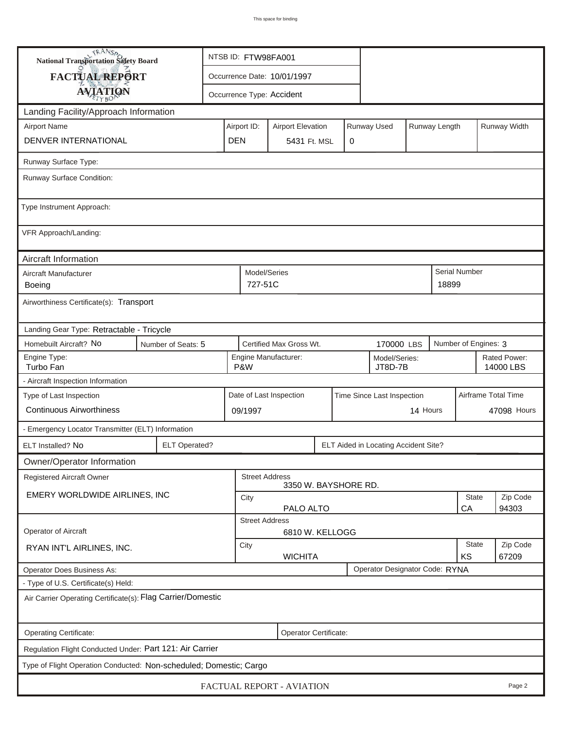| TRANSA<br>NTSB ID: FTW98FA001<br>National Transportation Safety Board |                      |                                                       |                                                         |                           |   |             |                                      |                    |                     |                           |  |  |
|-----------------------------------------------------------------------|----------------------|-------------------------------------------------------|---------------------------------------------------------|---------------------------|---|-------------|--------------------------------------|--------------------|---------------------|---------------------------|--|--|
| FACTUAL REPORT                                                        |                      | Occurrence Date: 10/01/1997                           |                                                         |                           |   |             |                                      |                    |                     |                           |  |  |
| <b>AVIATION</b>                                                       |                      |                                                       |                                                         | Occurrence Type: Accident |   |             |                                      |                    |                     |                           |  |  |
| Landing Facility/Approach Information                                 |                      |                                                       |                                                         |                           |   |             |                                      |                    |                     |                           |  |  |
| <b>Airport Name</b>                                                   |                      | Airport ID:                                           | <b>Airport Elevation</b>                                |                           |   | Runway Used |                                      | Runway Length      |                     | Runway Width              |  |  |
| <b>DENVER INTERNATIONAL</b>                                           | <b>DEN</b>           |                                                       | 5431 Ft. MSL                                            |                           | 0 |             |                                      |                    |                     |                           |  |  |
| Runway Surface Type:                                                  |                      |                                                       |                                                         |                           |   |             |                                      |                    |                     |                           |  |  |
| Runway Surface Condition:                                             |                      |                                                       |                                                         |                           |   |             |                                      |                    |                     |                           |  |  |
| Type Instrument Approach:                                             |                      |                                                       |                                                         |                           |   |             |                                      |                    |                     |                           |  |  |
| VFR Approach/Landing:                                                 |                      |                                                       |                                                         |                           |   |             |                                      |                    |                     |                           |  |  |
| Aircraft Information                                                  |                      |                                                       |                                                         |                           |   |             |                                      |                    |                     |                           |  |  |
| Aircraft Manufacturer<br>Boeing                                       |                      |                                                       | Model/Series<br>727-51C                                 |                           |   |             |                                      |                    | 18899               | <b>Serial Number</b>      |  |  |
| Airworthiness Certificate(s): Transport                               |                      |                                                       |                                                         |                           |   |             |                                      |                    |                     |                           |  |  |
| Landing Gear Type: Retractable - Tricycle                             |                      |                                                       |                                                         |                           |   |             |                                      |                    |                     |                           |  |  |
| Homebuilt Aircraft? No                                                | Number of Seats: 5   |                                                       |                                                         | Certified Max Gross Wt.   |   |             | 170000 LBS                           |                    |                     | Number of Engines: 3      |  |  |
| Engine Type:<br>Turbo Fan                                             |                      |                                                       | Engine Manufacturer:<br>Model/Series:<br>P&W<br>JT8D-7B |                           |   |             |                                      |                    |                     | Rated Power:<br>14000 LBS |  |  |
| - Aircraft Inspection Information                                     |                      |                                                       |                                                         |                           |   |             |                                      |                    |                     |                           |  |  |
| Type of Last Inspection                                               |                      | Date of Last Inspection<br>Time Since Last Inspection |                                                         |                           |   |             |                                      |                    | Airframe Total Time |                           |  |  |
| <b>Continuous Airworthiness</b>                                       |                      |                                                       | 14 Hours<br>09/1997                                     |                           |   |             |                                      |                    |                     | 47098 Hours               |  |  |
| - Emergency Locator Transmitter (ELT) Information                     |                      |                                                       |                                                         |                           |   |             |                                      |                    |                     |                           |  |  |
| ELT Installed? No                                                     | <b>ELT Operated?</b> |                                                       |                                                         |                           |   |             | ELT Aided in Locating Accident Site? |                    |                     |                           |  |  |
| Owner/Operator Information                                            |                      |                                                       |                                                         |                           |   |             |                                      |                    |                     |                           |  |  |
| Registered Aircraft Owner                                             |                      |                                                       | <b>Street Address</b>                                   | 3350 W. BAYSHORE RD.      |   |             |                                      |                    |                     |                           |  |  |
| EMERY WORLDWIDE AIRLINES, INC                                         |                      | City<br>PALO ALTO                                     |                                                         |                           |   |             |                                      | <b>State</b><br>CA | Zip Code<br>94303   |                           |  |  |
|                                                                       |                      | <b>Street Address</b>                                 |                                                         |                           |   |             |                                      |                    |                     |                           |  |  |
| Operator of Aircraft                                                  |                      |                                                       |                                                         | 6810 W. KELLOGG           |   |             |                                      |                    |                     |                           |  |  |
| RYAN INT'L AIRLINES, INC.                                             |                      | City<br><b>WICHITA</b>                                |                                                         |                           |   |             |                                      | State<br>KS        | Zip Code<br>67209   |                           |  |  |
| Operator Does Business As:                                            |                      |                                                       |                                                         |                           |   |             | Operator Designator Code: RYNA       |                    |                     |                           |  |  |
| - Type of U.S. Certificate(s) Held:                                   |                      |                                                       |                                                         |                           |   |             |                                      |                    |                     |                           |  |  |
| Air Carrier Operating Certificate(s): Flag Carrier/Domestic           |                      |                                                       |                                                         |                           |   |             |                                      |                    |                     |                           |  |  |
| Operating Certificate:<br>Operator Certificate:                       |                      |                                                       |                                                         |                           |   |             |                                      |                    |                     |                           |  |  |
| Regulation Flight Conducted Under: Part 121: Air Carrier              |                      |                                                       |                                                         |                           |   |             |                                      |                    |                     |                           |  |  |
| Type of Flight Operation Conducted: Non-scheduled; Domestic; Cargo    |                      |                                                       |                                                         |                           |   |             |                                      |                    |                     |                           |  |  |
| FACTUAL REPORT - AVIATION<br>Page 2                                   |                      |                                                       |                                                         |                           |   |             |                                      |                    |                     |                           |  |  |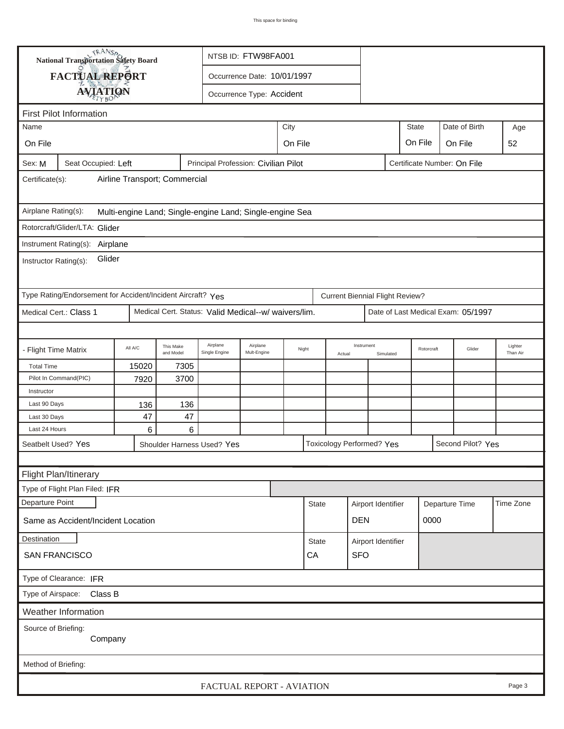|                                                                                                      | <b>National Transportation Safety Board</b><br>NTSB ID: FTW98FA001 |         |                        |                                                      |                             |         |              |        |                                        |                         |                                    |         |                   |                     |
|------------------------------------------------------------------------------------------------------|--------------------------------------------------------------------|---------|------------------------|------------------------------------------------------|-----------------------------|---------|--------------|--------|----------------------------------------|-------------------------|------------------------------------|---------|-------------------|---------------------|
|                                                                                                      | FACTUAL REPORT                                                     |         |                        |                                                      | Occurrence Date: 10/01/1997 |         |              |        |                                        |                         |                                    |         |                   |                     |
|                                                                                                      |                                                                    |         |                        |                                                      |                             |         |              |        |                                        |                         |                                    |         |                   |                     |
| <b>AVIATION</b><br>Occurrence Type: Accident                                                         |                                                                    |         |                        |                                                      |                             |         |              |        |                                        |                         |                                    |         |                   |                     |
| <b>First Pilot Information</b>                                                                       |                                                                    |         |                        |                                                      |                             |         |              |        |                                        |                         |                                    |         |                   |                     |
| Name                                                                                                 |                                                                    |         |                        |                                                      |                             | City    |              |        |                                        |                         | <b>State</b>                       |         | Date of Birth     | Age                 |
| On File                                                                                              |                                                                    |         |                        |                                                      |                             | On File |              |        |                                        |                         | On File                            | On File |                   | 52                  |
| Principal Profession: Civilian Pilot<br>Seat Occupied: Left<br>Certificate Number: On File<br>Sex: M |                                                                    |         |                        |                                                      |                             |         |              |        |                                        |                         |                                    |         |                   |                     |
| Airline Transport; Commercial<br>Certificate(s):                                                     |                                                                    |         |                        |                                                      |                             |         |              |        |                                        |                         |                                    |         |                   |                     |
| Airplane Rating(s):<br>Multi-engine Land; Single-engine Land; Single-engine Sea                      |                                                                    |         |                        |                                                      |                             |         |              |        |                                        |                         |                                    |         |                   |                     |
|                                                                                                      | Rotorcraft/Glider/LTA: Glider                                      |         |                        |                                                      |                             |         |              |        |                                        |                         |                                    |         |                   |                     |
|                                                                                                      | Instrument Rating(s):                                              |         |                        |                                                      |                             |         |              |        |                                        |                         |                                    |         |                   |                     |
| Airplane<br>Glider<br>Instructor Rating(s):                                                          |                                                                    |         |                        |                                                      |                             |         |              |        |                                        |                         |                                    |         |                   |                     |
|                                                                                                      | Type Rating/Endorsement for Accident/Incident Aircraft? Yes        |         |                        |                                                      |                             |         |              |        | <b>Current Biennial Flight Review?</b> |                         |                                    |         |                   |                     |
|                                                                                                      | Medical Cert.: Class 1                                             |         |                        | Medical Cert. Status: Valid Medical--w/ waivers/lim. |                             |         |              |        |                                        |                         | Date of Last Medical Exam: 05/1997 |         |                   |                     |
|                                                                                                      |                                                                    |         |                        |                                                      |                             |         |              |        |                                        |                         |                                    |         |                   |                     |
| - Flight Time Matrix                                                                                 |                                                                    | All A/C | This Make<br>and Model | Airplane<br>Single Engine                            | Airplane<br>Mult-Engine     | Night   |              | Actual | Instrument                             | Rotorcraft<br>Simulated |                                    |         | Glider            | Lighter<br>Than Air |
| <b>Total Time</b>                                                                                    |                                                                    | 15020   | 7305                   |                                                      |                             |         |              |        |                                        |                         |                                    |         |                   |                     |
|                                                                                                      | Pilot In Command(PIC)                                              | 7920    | 3700                   |                                                      |                             |         |              |        |                                        |                         |                                    |         |                   |                     |
| Instructor                                                                                           |                                                                    |         |                        |                                                      |                             |         |              |        |                                        |                         |                                    |         |                   |                     |
| Last 90 Days                                                                                         |                                                                    | 136     | 136                    |                                                      |                             |         |              |        |                                        |                         |                                    |         |                   |                     |
| Last 30 Days<br>Last 24 Hours                                                                        |                                                                    | 47<br>6 | 47<br>6                |                                                      |                             |         |              |        |                                        |                         |                                    |         |                   |                     |
|                                                                                                      | Seatbelt Used? Yes                                                 |         |                        |                                                      |                             |         |              |        | Toxicology Performed? Yes              |                         |                                    |         | Second Pilot? Yes |                     |
|                                                                                                      |                                                                    |         |                        | Shoulder Harness Used? Yes                           |                             |         |              |        |                                        |                         |                                    |         |                   |                     |
|                                                                                                      |                                                                    |         |                        |                                                      |                             |         |              |        |                                        |                         |                                    |         |                   |                     |
|                                                                                                      | Flight Plan/Itinerary                                              |         |                        |                                                      |                             |         |              |        |                                        |                         |                                    |         |                   |                     |
|                                                                                                      | Type of Flight Plan Filed: IFR                                     |         |                        |                                                      |                             |         |              |        |                                        |                         |                                    |         |                   |                     |
| Departure Point                                                                                      |                                                                    |         |                        |                                                      |                             |         | <b>State</b> |        | Airport Identifier                     |                         | Departure Time                     |         |                   | Time Zone           |
| Same as Accident/Incident Location                                                                   |                                                                    |         |                        |                                                      |                             |         |              |        |                                        | <b>DEN</b>              |                                    | 0000    |                   |                     |
| Destination                                                                                          |                                                                    |         |                        |                                                      |                             |         | <b>State</b> |        | Airport Identifier                     |                         |                                    |         |                   |                     |
| <b>SAN FRANCISCO</b>                                                                                 |                                                                    |         |                        |                                                      |                             |         | CA           |        | <b>SFO</b>                             |                         |                                    |         |                   |                     |
| Type of Clearance: IFR                                                                               |                                                                    |         |                        |                                                      |                             |         |              |        |                                        |                         |                                    |         |                   |                     |
| Type of Airspace: Class B                                                                            |                                                                    |         |                        |                                                      |                             |         |              |        |                                        |                         |                                    |         |                   |                     |
| Weather Information                                                                                  |                                                                    |         |                        |                                                      |                             |         |              |        |                                        |                         |                                    |         |                   |                     |
| Source of Briefing:<br>Company                                                                       |                                                                    |         |                        |                                                      |                             |         |              |        |                                        |                         |                                    |         |                   |                     |
|                                                                                                      |                                                                    |         |                        |                                                      |                             |         |              |        |                                        |                         |                                    |         |                   |                     |
| Method of Briefing:                                                                                  |                                                                    |         |                        |                                                      |                             |         |              |        |                                        |                         |                                    |         |                   |                     |
|                                                                                                      |                                                                    |         |                        | FACTUAL REPORT - AVIATION                            |                             |         |              |        |                                        |                         |                                    |         |                   | Page 3              |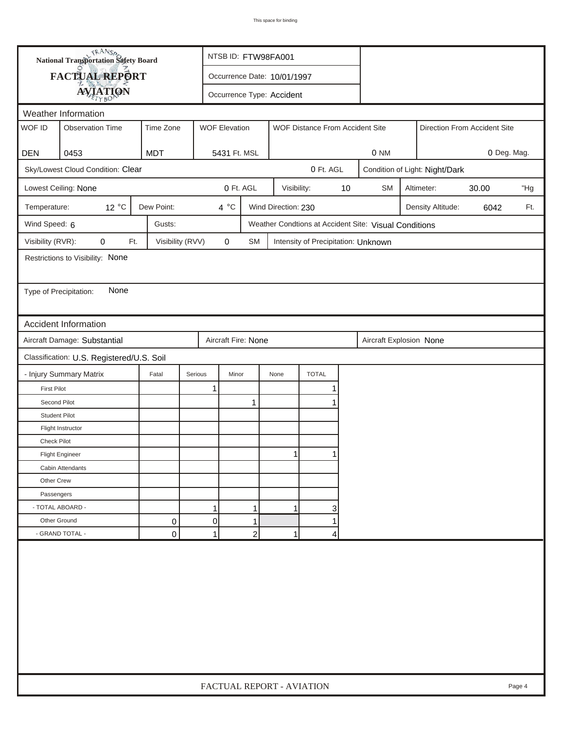|                        | <b>National Transportation Safety Board</b> |                  | NTSB ID: FTW98FA001       |                             |                           |                                     |    |                                                       |  |                                |                              |        |
|------------------------|---------------------------------------------|------------------|---------------------------|-----------------------------|---------------------------|-------------------------------------|----|-------------------------------------------------------|--|--------------------------------|------------------------------|--------|
|                        | <b>FACTUAL REPORT</b>                       |                  |                           | Occurrence Date: 10/01/1997 |                           |                                     |    |                                                       |  |                                |                              |        |
|                        | <b>AVIATION</b>                             |                  |                           |                             | Occurrence Type: Accident |                                     |    |                                                       |  |                                |                              |        |
| Weather Information    |                                             |                  |                           |                             |                           |                                     |    |                                                       |  |                                |                              |        |
| WOF ID                 | <b>Observation Time</b>                     | Time Zone        | <b>WOF Elevation</b>      |                             |                           | WOF Distance From Accident Site     |    |                                                       |  |                                | Direction From Accident Site |        |
|                        |                                             |                  |                           |                             |                           |                                     |    |                                                       |  |                                |                              |        |
| <b>DEN</b>             | 0453                                        | <b>MDT</b>       | 5431 Ft. MSL              |                             |                           |                                     |    | 0 NM                                                  |  |                                | 0 Deg. Mag.                  |        |
|                        | Sky/Lowest Cloud Condition: Clear           |                  |                           |                             |                           | 0 Ft. AGL                           |    |                                                       |  | Condition of Light: Night/Dark |                              |        |
|                        | Lowest Ceiling: None                        |                  |                           | 0 Ft. AGL                   | Visibility:               |                                     | 10 | <b>SM</b>                                             |  | Altimeter:                     | 30.00                        | "Hg    |
| Temperature:           | $12^{\circ}$ C                              | Dew Point:       | $4^{\circ}C$              |                             | Wind Direction: 230       |                                     |    |                                                       |  | Density Altitude:              | 6042                         | Ft.    |
| Wind Speed: 6          |                                             | Gusts:           |                           |                             |                           |                                     |    | Weather Condtions at Accident Site: Visual Conditions |  |                                |                              |        |
| Visibility (RVR):      | $\mathbf 0$<br>Ft.                          | Visibility (RVV) | 0                         | SM                          |                           | Intensity of Precipitation: Unknown |    |                                                       |  |                                |                              |        |
|                        | Restrictions to Visibility: None            |                  |                           |                             |                           |                                     |    |                                                       |  |                                |                              |        |
|                        |                                             |                  |                           |                             |                           |                                     |    |                                                       |  |                                |                              |        |
| Type of Precipitation: | None                                        |                  |                           |                             |                           |                                     |    |                                                       |  |                                |                              |        |
|                        |                                             |                  |                           |                             |                           |                                     |    |                                                       |  |                                |                              |        |
|                        | <b>Accident Information</b>                 |                  |                           |                             |                           |                                     |    |                                                       |  |                                |                              |        |
|                        | Aircraft Damage: Substantial                |                  | Aircraft Fire: None       |                             |                           |                                     |    | Aircraft Explosion None                               |  |                                |                              |        |
|                        | Classification: U.S. Registered/U.S. Soil   |                  |                           |                             |                           |                                     |    |                                                       |  |                                |                              |        |
|                        | - Injury Summary Matrix                     | Fatal            | Serious<br>Minor          |                             | None                      | <b>TOTAL</b>                        |    |                                                       |  |                                |                              |        |
| <b>First Pilot</b>     |                                             |                  | 1                         |                             |                           |                                     |    |                                                       |  |                                |                              |        |
| Second Pilot           |                                             |                  |                           | 1                           |                           |                                     |    |                                                       |  |                                |                              |        |
| <b>Student Pilot</b>   |                                             |                  |                           |                             |                           |                                     |    |                                                       |  |                                |                              |        |
|                        | Flight Instructor                           |                  |                           |                             |                           |                                     |    |                                                       |  |                                |                              |        |
| <b>Check Pilot</b>     |                                             |                  |                           |                             |                           |                                     |    |                                                       |  |                                |                              |        |
|                        | <b>Flight Engineer</b>                      |                  |                           |                             | 11                        |                                     |    |                                                       |  |                                |                              |        |
|                        | Cabin Attendants                            |                  |                           |                             |                           |                                     |    |                                                       |  |                                |                              |        |
| Other Crew             |                                             |                  |                           |                             |                           |                                     |    |                                                       |  |                                |                              |        |
| Passengers             |                                             |                  |                           |                             |                           |                                     |    |                                                       |  |                                |                              |        |
|                        | - TOTAL ABOARD -                            |                  | 1                         | 1                           | 1                         | 3                                   |    |                                                       |  |                                |                              |        |
| Other Ground           |                                             | 0                | $\overline{0}$            | 1                           |                           | 1                                   |    |                                                       |  |                                |                              |        |
|                        | - GRAND TOTAL -                             | 0                | 1                         | $\overline{c}$              | 1                         | 4                                   |    |                                                       |  |                                |                              |        |
|                        |                                             |                  |                           |                             |                           |                                     |    |                                                       |  |                                |                              |        |
|                        |                                             |                  | FACTUAL REPORT - AVIATION |                             |                           |                                     |    |                                                       |  |                                |                              | Page 4 |